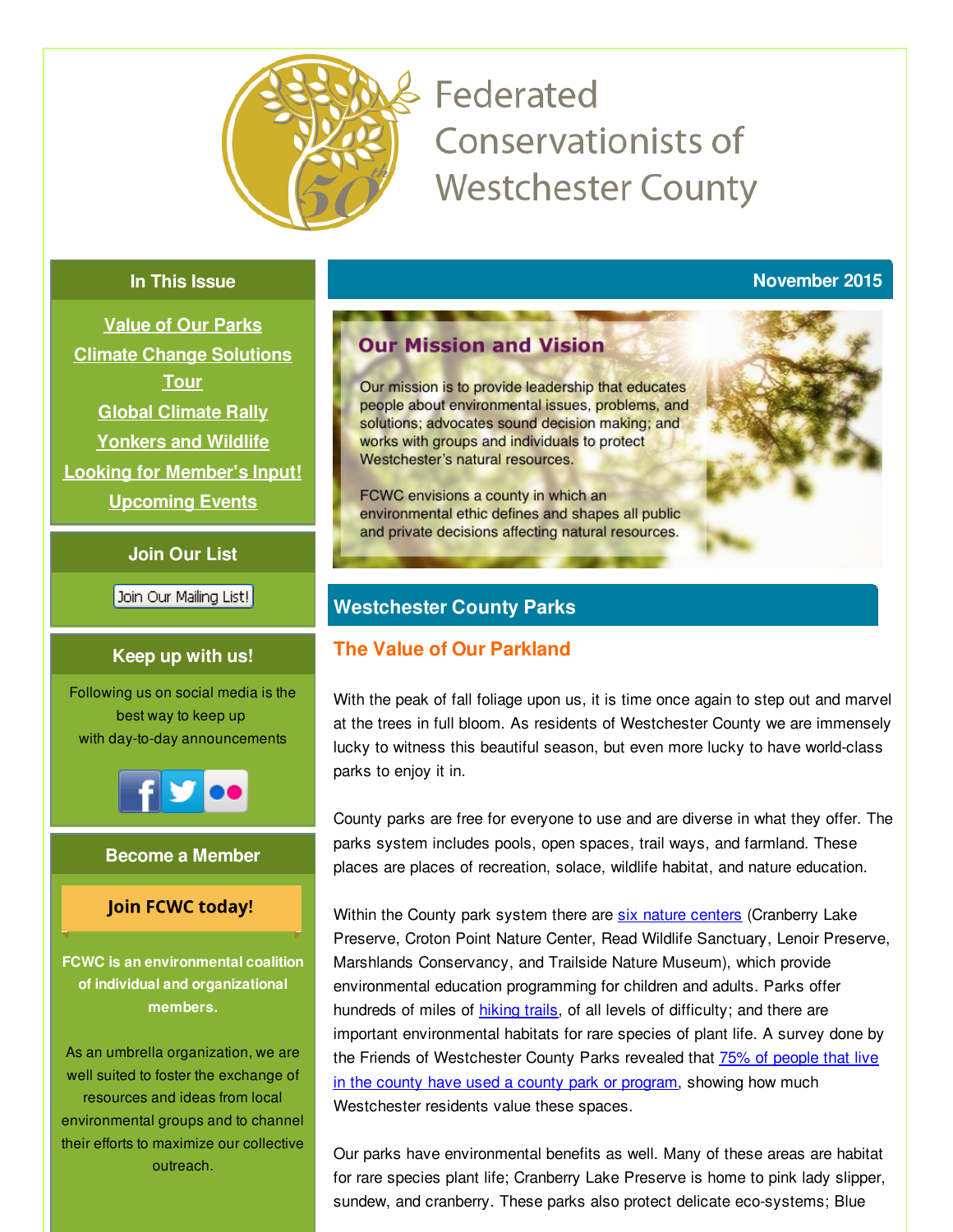<span id="page-0-0"></span>

# Federated **Conservationists of Westchester County**

### **In This Issue**

**[Value](#page-0-0) of Our Parks Climate Change [Solutions](#page-0-0) Tour Global [Climate](#page-0-0) Rally [Yonkers](#page-0-0) and Wildlife Looking for [Member's](#page-0-0) Input! [Upcoming](#page-0-0) Events**

**Join Our List**

Join Our Mailing List!

### **Keep up with us!**

Following us on social media is the best way to keep up with day-to-day announcements



### **Become a Member**

### **Join FCWC today!**

**FCWC is an environmental coalition of individual and organizational members.**

As an umbrella organization, we are well suited to foster the exchange of resources and ideas from local environmental groups and to channel their efforts to maximize our collective outreach.

# **Our Mission and Vision**

Our mission is to provide leadership that educates people about environmental issues, problems, and solutions; advocates sound decision making; and works with groups and individuals to protect Westchester's natural resources.

FCWC envisions a county in which an environmental ethic defines and shapes all public and private decisions affecting natural resources.

# **Westchester County Parks**

# **The Value of Our Parkland**

With the peak of fall foliage upon us, it is time once again to step out and marvel at the trees in full bloom. As residents of Westchester County we are immensely lucky to witness this beautiful season, but even more lucky to have world-class parks to enjoy it in.

County parks are free for everyone to use and are diverse in what they offer. The parks system includes pools, open spaces, trail ways, and farmland. These places are places of recreation, solace, wildlife habitat, and nature education.

Within the County park system there are six nature [centers](http://parks.westchestergov.com/nature-centers) (Cranberry Lake Preserve, Croton Point Nature Center, Read Wildlife Sanctuary, Lenoir Preserve, Marshlands Conservancy, and Trailside Nature Museum), which provide environmental education programming for children and adults. Parks offer hundreds of miles of [hiking](http://parks.westchestergov.com/parks-and-destinations/trailways) trails, of all levels of difficulty; and there are important environmental habitats for rare species of plant life. A survey done by the Friends of [Westchester](http://armonk.dailyvoice.com/neighbors/westchester-resident-encourages-friendship-for-parks/430348/) County Parks revealed that 75% of people that live in the county have used a county park or program, showing how much Westchester residents value these spaces.

Our parks have environmental benefits as well. Many of these areas are habitat for rare species plant life; Cranberry Lake Preserve is home to pink lady slipper, sundew, and cranberry. These parks also protect delicate eco-systems; Blue

**November 2015**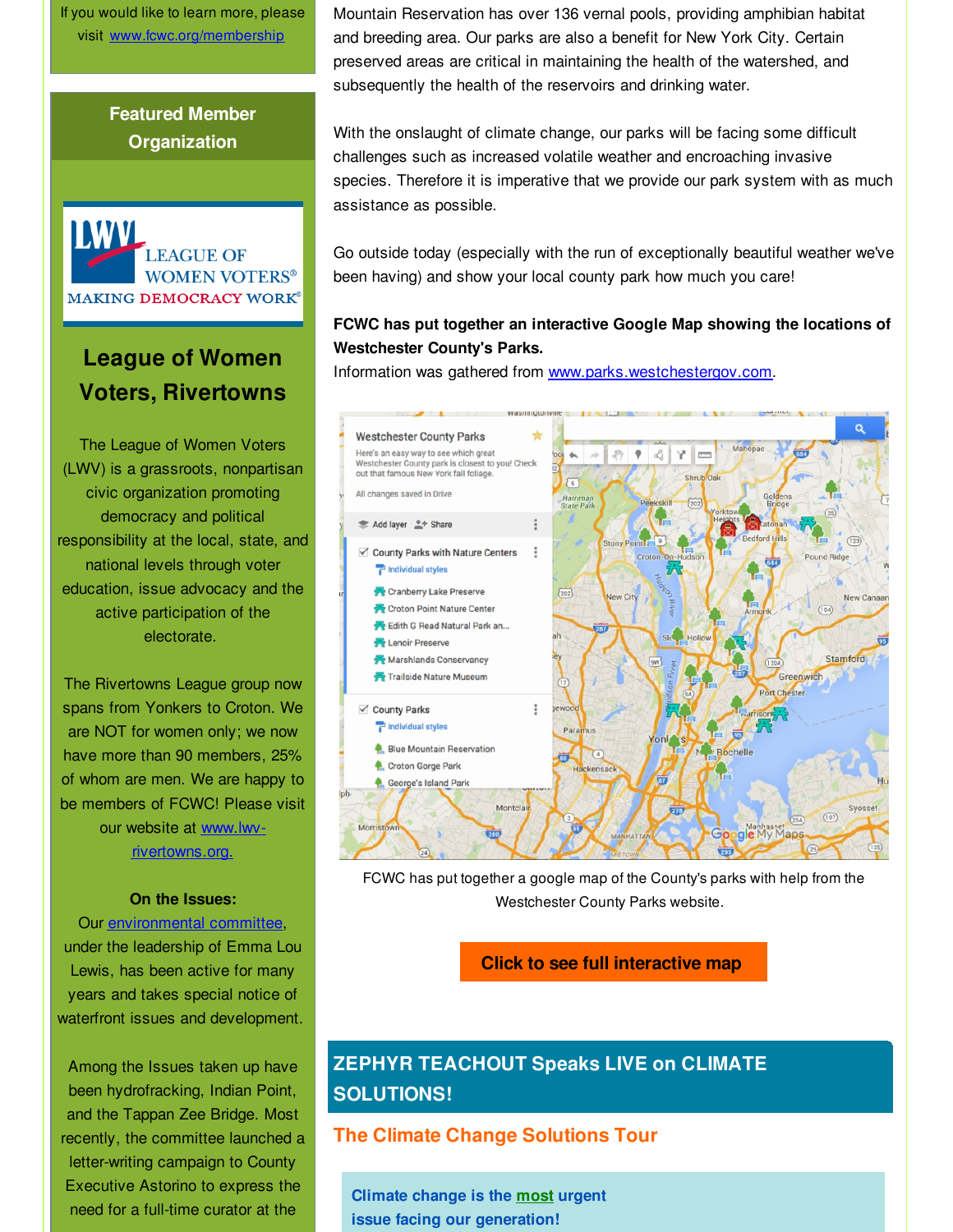If you would like to learn more, please visit [www.fcwc.org/membership](http://r20.rs6.net/tn.jsp?f=001viLutakE4mFSLeCgdff7-4Cn44lO16c9NdEoyT6PiNeey4YCQh632haGPSubqnuJR1iLy5NBje28Q9iUf8fXun99QteFT8nbFpM9YX9QCb3oaYpYz5UU3xjUu2XAATfYwG3qmOwfFaqkmis7Ka6PRfZZ2m3qqQCX5r-3PRp7u1yIJNcLho-gWJYls-_OMn_VQWMHMMJdS8Q=&c=&ch=)

# **Featured Member Organization**



# **League of Women Voters, Rivertowns**

The League of Women Voters (LWV) is a grassroots, nonpartisan civic organization promoting democracy and political responsibility at the local, state, and national levels through voter education, issue advocacy and the active participation of the electorate.

The Rivertowns League group now spans from Yonkers to Croton. We are NOT for women only; we now have more than 90 members, 25% of whom are men. We are happy to be members of FCWC! Please visit our website at www.lwv[rivertowns.org.](http://r20.rs6.net/tn.jsp?f=001viLutakE4mFSLeCgdff7-4Cn44lO16c9NdEoyT6PiNeey4YCQh632qcLfw2xDueH_Q_ClAaxG3s9ZrtD9JELcyMlTMSD4a0dwtDzDIWzhXENNMab5o0jnqDZ3nQ1e7YEMF2vKoGz5JuVulFbVtMxlsC6Lmsn5i8Z9PCqOrp5wLFVrLLuJfxhzw==&c=&ch=)

#### **On the Issues:**

Our [environmental](http://r20.rs6.net/tn.jsp?f=001viLutakE4mFSLeCgdff7-4Cn44lO16c9NdEoyT6PiNeey4YCQh632qcLfw2xDueHWEyHMkMw7G890P3nNntanrQq_IVkf5XLf1aZitciUtQjVXRN9tVWYvha2uhry5QNBqCpc7NslJb6LTJdh20qK3vbHXl0MO0ZmLdRP86stxLckqpXu16ss7pWU6KVOcG7&c=&ch=) committee, under the leadership of Emma Lou Lewis, has been active for many years and takes special notice of waterfront issues and development.

Among the Issues taken up have been hydrofracking, Indian Point, and the Tappan Zee Bridge. Most recently, the committee launched a letter-writing campaign to County Executive Astorino to express the need for a full-time curator at the

Mountain Reservation has over 136 vernal pools, providing amphibian habitat and breeding area. Our parks are also a benefit for New York City. Certain preserved areas are critical in maintaining the health of the watershed, and subsequently the health of the reservoirs and drinking water.

With the onslaught of climate change, our parks will be facing some difficult challenges such as increased volatile weather and encroaching invasive species. Therefore it is imperative that we provide our park system with as much assistance as possible.

Go outside today (especially with the run of exceptionally beautiful weather we've been having) and show your local county park how much you care!

### **FCWC has put together an interactive Google Map showing the locations of Westchester County's Parks.**

Information was gathered from [www.parks.westchestergov.com](http://r20.rs6.net/tn.jsp?f=001viLutakE4mFSLeCgdff7-4Cn44lO16c9NdEoyT6PiNeey4YCQh632qGxDXn91YddnRIT0j5AIj-QuWNpvsOgbIhtAE9D3YfecxIOquVuC3nTp2HJ9jmfVUu5WjIDNXJ1I5mfTR-Ltd1TODl7nigp33FBu4FDqgDDH-YmalPPvZhC7eFUfsBaIw==&c=&ch=).



FCWC has put together a google map of the County's parks with help from the Westchester County Parks website.

#### **Click to see full [interactive](http://r20.rs6.net/tn.jsp?f=001viLutakE4mFSLeCgdff7-4Cn44lO16c9NdEoyT6PiNeey4YCQh632qcLfw2xDueHaMOQmp60pXZcXegEJk5yDbFRrhIM4bIuhoZThP9yZX3jnNhGJrAD5WWm9jCgwC1cJU-RRqjJ71ZVoZvaxrtWnfP8CL-BR5vBvyn-BPD2euZM_Ieow2iSobK8lCW5v3yUCa8eAfLa5X2oJsLr0hFqSiqBHCyhVPnvXHBQuBqhtSrw_-S71iekuucaRMymFX3r&c=&ch=) map**

# **ZEPHYR TEACHOUT Speaks LIVE on CLIMATE SOLUTIONS!**

### **The Climate Change Solutions Tour**

**Climate change is the most urgent issue facing our generation!**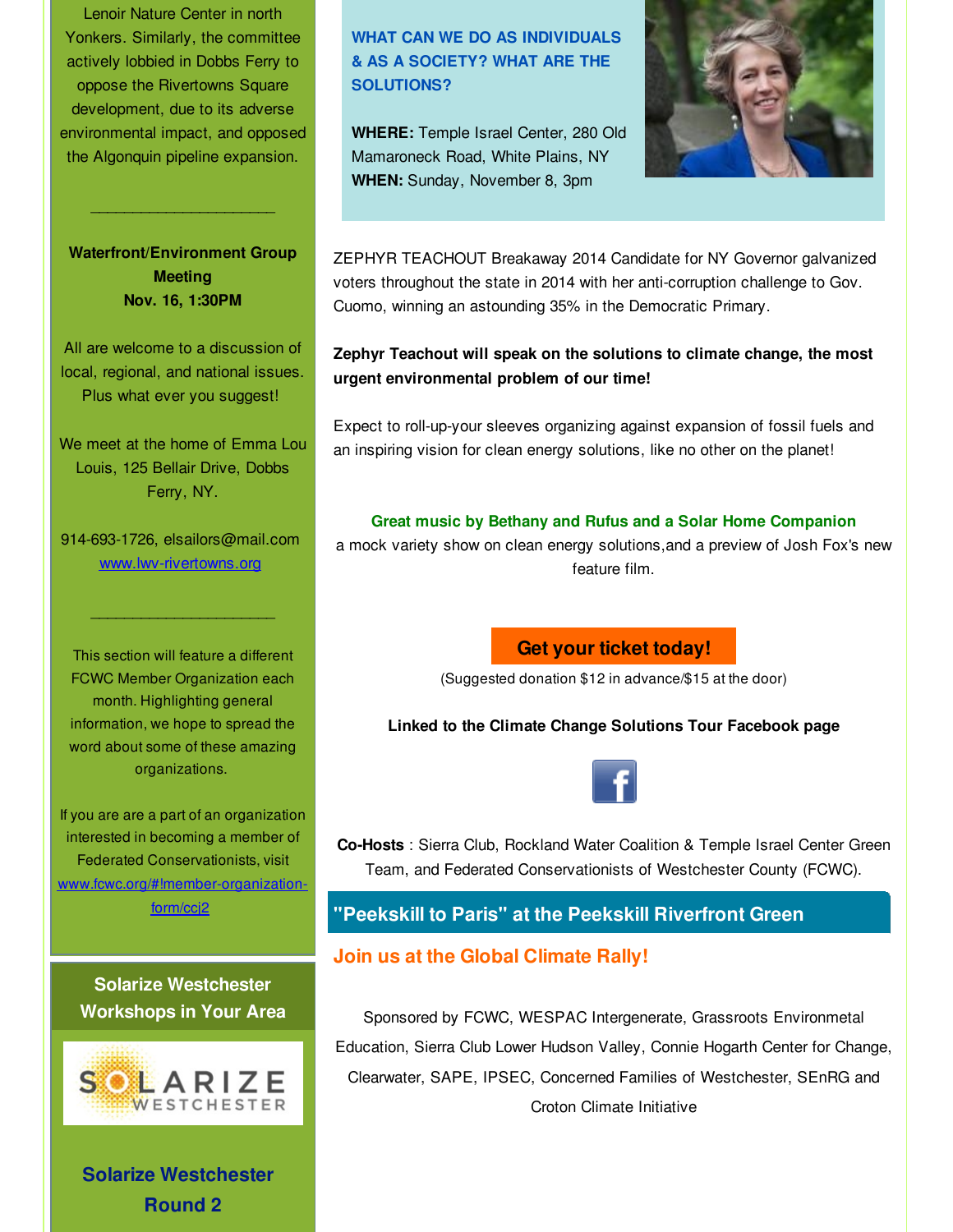Lenoir Nature Center in north Yonkers. Similarly, the committee actively lobbied in Dobbs Ferry to oppose the Rivertowns Square development, due to its adverse environmental impact, and opposed the Algonquin pipeline expansion.

**Waterfront/Environment Group Meeting Nov. 16, 1:30PM**

 $\mathcal{L}_\text{max}$  and  $\mathcal{L}_\text{max}$  and  $\mathcal{L}_\text{max}$ 

All are welcome to a discussion of local, regional, and national issues. Plus what ever you suggest!

We meet at the home of Emma Lou Louis, 125 Bellair Drive, Dobbs Ferry, NY.

914-693-1726, elsailors@mail.com [www.lwv-rivertowns.org](http://r20.rs6.net/tn.jsp?f=001viLutakE4mFSLeCgdff7-4Cn44lO16c9NdEoyT6PiNeey4YCQh632uMrGg7w5NsaoM_MQZ5W0aprOX9AM3KYTPCjGrXDd9U6Z83KKggdKwT499_7ebmQdHkWPsFHw_JyiH-RfnloL94sBpmjYtzJxIpRWsEWzrJaeG4akdpHoFltBnrpIi8fYQ==&c=&ch=)

 $\mathcal{L}_\text{max}$  , we are the set of the set of the set of the set of the set of the set of the set of the set of the set of the set of the set of the set of the set of the set of the set of the set of the set of the set of

This section will feature a different FCWC Member Organization each month. Highlighting general information, we hope to spread the word about some of these amazing organizations.

If you are are a part of an organization interested in becoming a member of Federated Conservationists, visit [www.fcwc.org/#!member-organization](http://r20.rs6.net/tn.jsp?f=001viLutakE4mFSLeCgdff7-4Cn44lO16c9NdEoyT6PiNeey4YCQh632g8dkoSRtEFUWw0mSGRXNIQyBQvep5NMGCLd2nXVyIIb7dr5tK1xczTlRAGDgfcYFlqXKjkTwkhgx1VyZk3tRm4BcBvag4SGSLfjeP2xlF-DoyCo4Ue_v7StpO2Uib7JdlFPGbEmv2i_MBxXDJPIwMybI_mq8s2yMA==&c=&ch=)form/ccj2

**Solarize Westchester Workshops in Your Area**



**Solarize Westchester Round 2**

# **WHAT CAN WE DO AS INDIVIDUALS & AS A SOCIETY? WHAT ARE THE SOLUTIONS?**

**WHERE:** Temple Israel Center, 280 Old Mamaroneck Road, White Plains, NY **WHEN:** Sunday, November 8, 3pm



ZEPHYR TEACHOUT Breakaway 2014 Candidate for NY Governor galvanized voters throughout the state in 2014 with her anti-corruption challenge to Gov. Cuomo, winning an astounding 35% in the Democratic Primary.

**Zephyr Teachout will speak on the solutions to climate change, the most urgent environmental problem of our time!**

Expect to roll-up-your sleeves organizing against expansion of fossil fuels and an inspiring vision for clean energy solutions, like no other on the planet!

#### **Great music by Bethany and Rufus and a Solar Home Companion**

a mock variety show on clean energy solutions,and a preview of Josh Fox's new feature film.

# **Get your ticket [today!](http://r20.rs6.net/tn.jsp?f=001viLutakE4mFSLeCgdff7-4Cn44lO16c9NdEoyT6PiNeey4YCQh632qcLfw2xDueH6A-9xifHwGyOmpT01r88OCXHKn7ilyqZv3S0TXzvxJB6ShaOaj2whQZ-gz9N8GMu3UfvqccJqBotuKoFd9x6O6nLvWDcbDQCAACfkacktynamu6DbFVDPMGVxzDD465Z&c=&ch=)**

(Suggested donation \$12 in advance/\$15 at the door)

**Linked to the Climate Change Solutions Tour Facebook page**



**Co-Hosts** : Sierra Club, Rockland Water Coalition & Temple Israel Center Green Team, and Federated Conservationists of Westchester County (FCWC).

# **"Peekskill to Paris" at the Peekskill Riverfront Green**

# **Join us at the Global Climate Rally!**

Sponsored by FCWC, WESPAC Intergenerate, Grassroots Environmetal Education, Sierra Club Lower Hudson Valley, Connie Hogarth Center for Change, Clearwater, SAPE, IPSEC, Concerned Families of Westchester, SEnRG and Croton Climate Initiative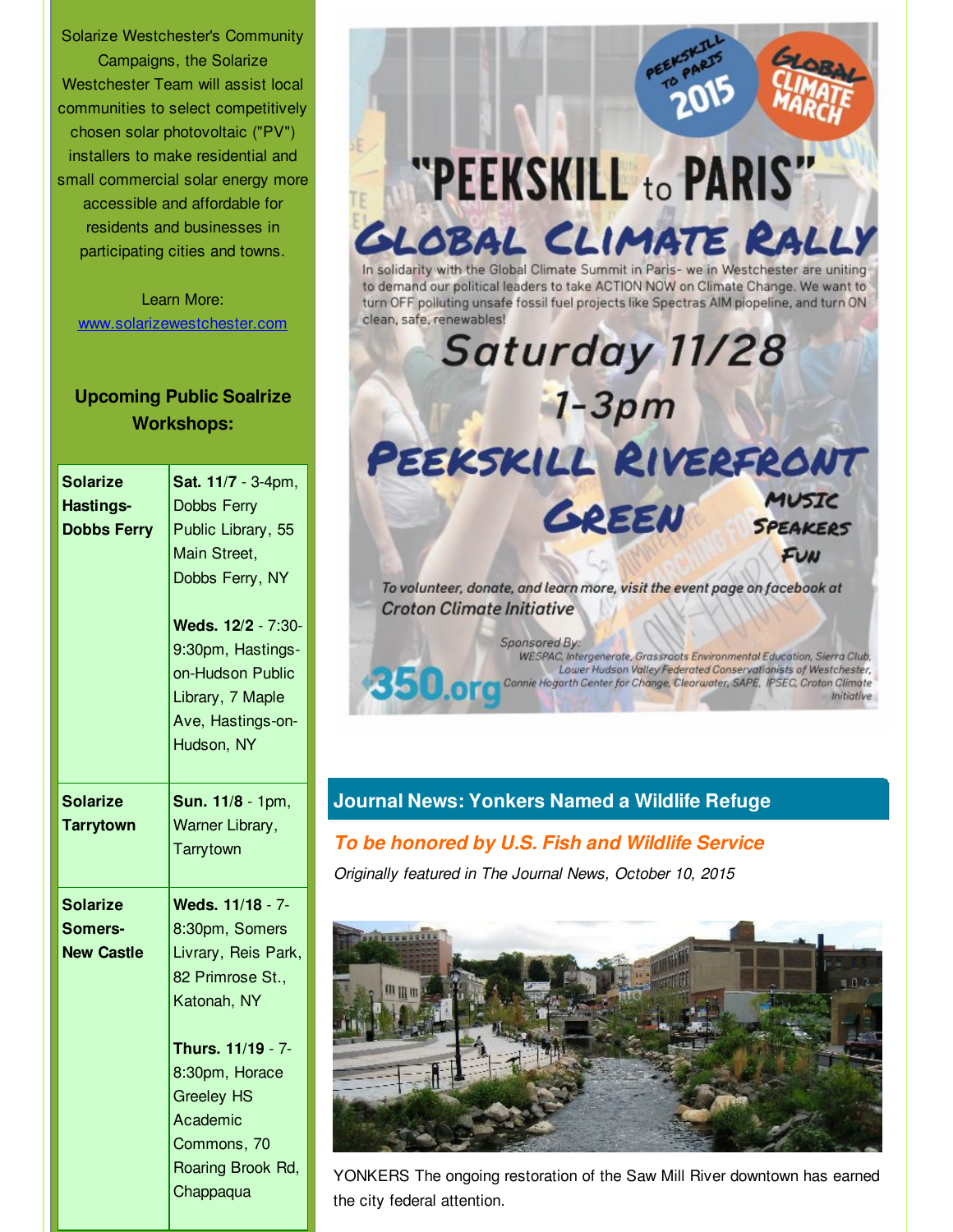Solarize Westchester's Community Campaigns, the Solarize Westchester Team will assist local communities to select competitively chosen solar photovoltaic ("PV") installers to make residential and small commercial solar energy more accessible and affordable for residents and businesses in participating cities and towns.

Learn More: [www.solarizewestchester.com](http://r20.rs6.net/tn.jsp?f=001viLutakE4mFSLeCgdff7-4Cn44lO16c9NdEoyT6PiNeey4YCQh632lRhLogtoismgSjJPP3osKIFbLv_xKRgdK7ASqO8Vd9DTIvtHx7Z9IVOpOBLIj8oqwfll3XqlEpKjk3_Bfdz7OP4B3CQ2hLk6wWamUqyStRsjEiT35L7J9kxSpeCkzda9bz-Ji2MU8Gb&c=&ch=)

# **Upcoming Public Soalrize Workshops:**

| <b>Solarize</b>    | Sat. 11/7 - 3-4pm,  |
|--------------------|---------------------|
| <b>Hastings-</b>   | <b>Dobbs Ferry</b>  |
| <b>Dobbs Ferry</b> | Public Library, 55  |
|                    | Main Street,        |
|                    | Dobbs Ferry, NY     |
|                    | Weds. 12/2 - 7:30-  |
|                    | 9:30pm, Hastings-   |
|                    | on-Hudson Public    |
|                    | Library, 7 Maple    |
|                    | Ave, Hastings-on-   |
|                    | Hudson, NY          |
|                    |                     |
| Solarize           | Sun. 11/8 - 1pm,    |
| <b>Tarrytown</b>   | Warner Library,     |
|                    |                     |
|                    | Tarrytown           |
| <b>Solarize</b>    | Weds. 11/18 - 7-    |
| Somers-            | 8:30pm, Somers      |
| <b>New Castle</b>  | Livrary, Reis Park, |
|                    | 82 Primrose St.,    |
|                    | Katonah, NY         |
|                    | Thurs. 11/19 - 7-   |
|                    | 8:30pm, Horace      |
|                    | <b>Greeley HS</b>   |
|                    | Academic            |
|                    | Commons, 70         |
|                    | Roaring Brook Rd,   |



# **Journal News: Yonkers Named a Wildlife Refuge**

# *To be honored by U.S. Fish and Wildlife Service*

*Originally featured in The Journal News, October 10, 2015*



YONKERS The ongoing restoration of the Saw Mill River downtown has earned the city federal attention.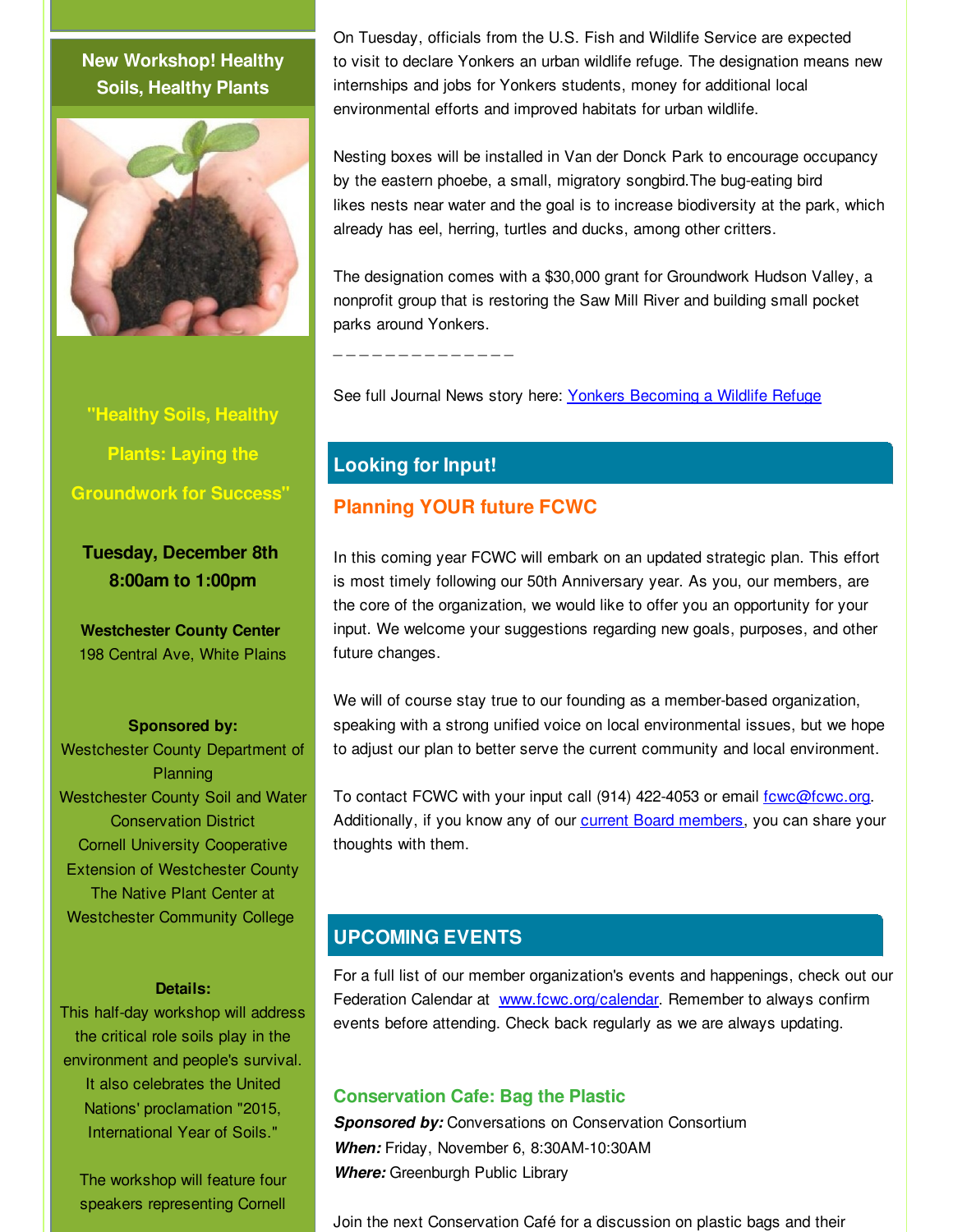# **New Workshop! Healthy Soils, Healthy Plants**



**"Healthy Soils, Healthy Plants: Laying the Groundwork for Success"**

**Tuesday, December 8th 8:00am to 1:00pm**

**Westchester County Center** 198 Central Ave, White Plains

#### **Sponsored by:**

Westchester County Department of **Planning** Westchester County Soil and Water Conservation District Cornell University Cooperative Extension of Westchester County The Native Plant Center at Westchester Community College

#### **Details:**

This half-day workshop will address the critical role soils play in the environment and people's survival. It also celebrates the United Nations' proclamation "2015, International Year of Soils."

The workshop will feature four speakers representing Cornell

On Tuesday, officials from the U.S. Fish and Wildlife Service are expected to visit to declare Yonkers an urban wildlife refuge. The designation means new internships and jobs for Yonkers students, money for additional local environmental efforts and improved habitats for urban wildlife.

Nesting boxes will be installed in Van der Donck Park to encourage occupancy by the eastern phoebe, a small, migratory songbird.The bug-eating bird likes nests near water and the goal is to increase biodiversity at the park, which already has eel, herring, turtles and ducks, among other critters.

The designation comes with a \$30,000 grant for Groundwork Hudson Valley, a nonprofit group that is restoring the Saw Mill River and building small pocket parks around Yonkers.

\_ \_ \_ \_ \_ \_ \_ \_ \_ \_ \_ \_ \_ \_

See full Journal News story here: Yonkers [Becoming](http://r20.rs6.net/tn.jsp?f=001viLutakE4mFSLeCgdff7-4Cn44lO16c9NdEoyT6PiNeey4YCQh632pUipogVFcGIfjiA_p6TidY65xFysNVVQHM5OgJNnYiZwEsjKgUgmC0rT7wpNroZP_hOcz8rM680ET-MG9ZfJOMd4ZWO9LWQsDuHTqR4JZ0hX06LI5F3Uzk61vSDjcawVAdiRfKimPeTJLihzbENxnBfgR7LenFO72EO_fpvqRgdjmx8ze6UTlHOtank1GMZz1_yJQy1scVG5AQvFKYBmx6Pkyrzi5v2dK_nt3XrP2eFmV_JT871-669S1DJkr73AQ==&c=&ch=) a Wildlife Refuge

# **Looking for Input!**

# **Planning YOUR future FCWC**

In this coming year FCWC will embark on an updated strategic plan. This effort is most timely following our 50th Anniversary year. As you, our members, are the core of the organization, we would like to offer you an opportunity for your input. We welcome your suggestions regarding new goals, purposes, and other future changes.

We will of course stay true to our founding as a member-based organization, speaking with a strong unified voice on local environmental issues, but we hope to adjust our plan to better serve the current community and local environment.

To contact FCWC with your input call (914) 422-4053 or email fowc@fowc.org. Additionally, if you know any of our current Board [members](http://r20.rs6.net/tn.jsp?f=001viLutakE4mFSLeCgdff7-4Cn44lO16c9NdEoyT6PiNeey4YCQh632qcLfw2xDueHLrvsiFgSWq5ZffyOWaUr4c7j9Vbkb1Q_FDxWd2EwJMrLOWLcZwFnvNdBRdPCskqNP01a9SDzXDVr8Fcut3ekFIUATVh5uhMXgyenpESRXrM1tYKtJGNAunlbiLNSZfnR&c=&ch=), you can share your thoughts with them.

# **UPCOMING EVENTS**

For a full list of our member organization's events and happenings, check out our Federation Calendar at [www.fcwc.org/calendar](http://r20.rs6.net/tn.jsp?f=001viLutakE4mFSLeCgdff7-4Cn44lO16c9NdEoyT6PiNeey4YCQh632h3eFwRLeT9ZiUK71ZHpXWL1lNRq6DD44kPnv9nAVeaka1PuFX0NNXU37qNf_M0j02y_DKZB8-GQdl74BQLdSRlldWOS1EkrXNuvi6CHhl2OV4jpmnbO7i8EHoVXBNwh4yfgxl8oremm&c=&ch=). Remember to always confirm events before attending. Check back regularly as we are always updating.

### **Conservation Cafe: Bag the Plastic**

**Sponsored by:** Conversations on Conservation Consortium *When:* Friday, November 6, 8:30AM-10:30AM *Where:* Greenburgh Public Library

Join the next Conservation Café for a discussion on plastic bags and their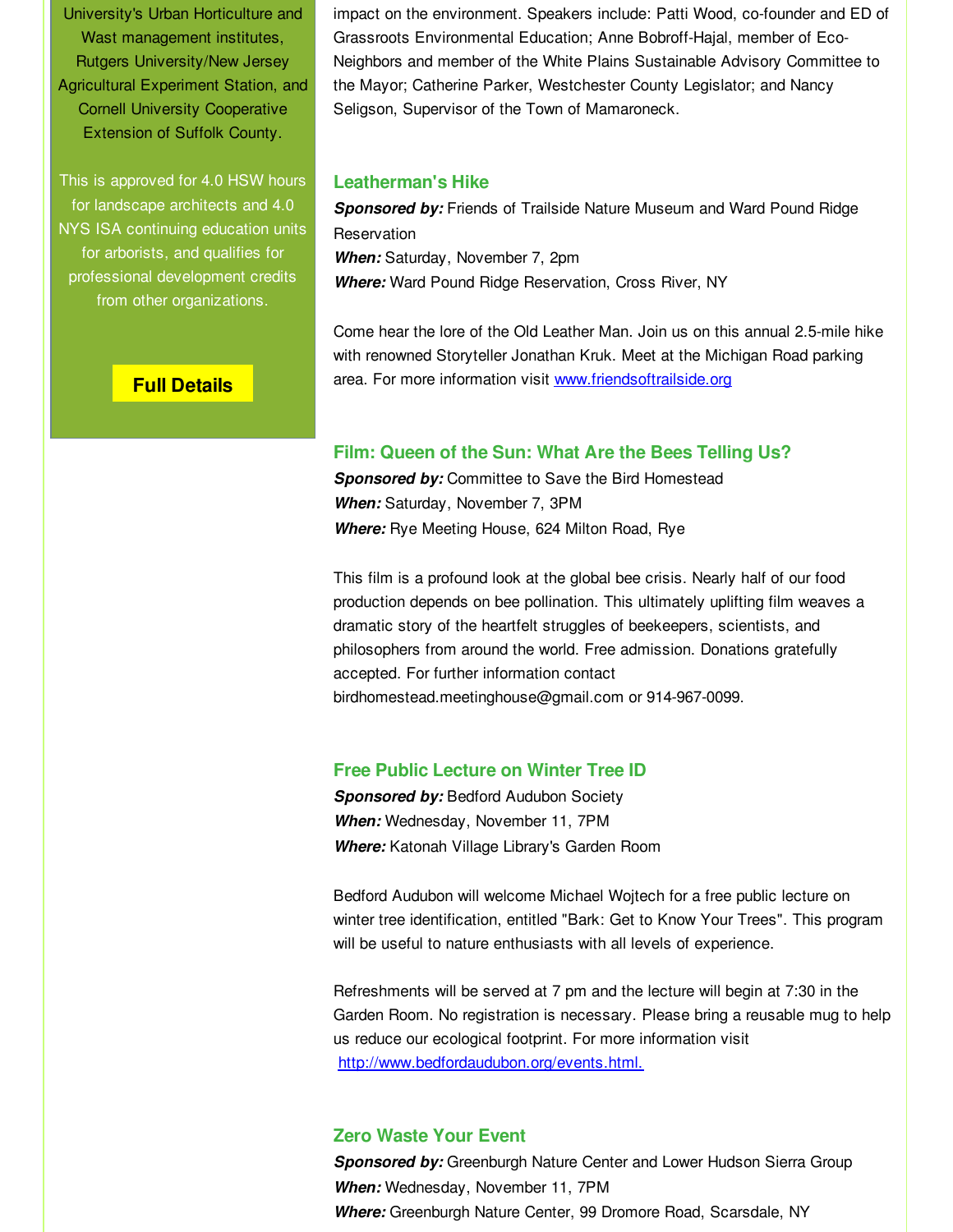University's Urban Horticulture and Wast management institutes, Rutgers University/New Jersey Agricultural Experiment Station, and Cornell University Cooperative Extension of Suffolk County.

This is approved for 4.0 HSW hours for landscape architects and 4.0 NYS ISA continuing education units for arborists, and qualifies for professional development credits from other organizations.

impact on the environment. Speakers include: Patti Wood, co-founder and ED of Grassroots Environmental Education; Anne Bobroff-Hajal, member of Eco-Neighbors and member of the White Plains Sustainable Advisory Committee to the Mayor; Catherine Parker, Westchester County Legislator; and Nancy Seligson, Supervisor of the Town of Mamaroneck.

#### **Leatherman's Hike**

*Sponsored by:* Friends of Trailside Nature Museum and Ward Pound Ridge Reservation *When:* Saturday, November 7, 2pm *Where:* Ward Pound Ridge Reservation, Cross River, NY

Come hear the lore of the Old Leather Man. Join us on this annual 2.5-mile hike with renowned Storyteller Jonathan Kruk. Meet at the Michigan Road parking area. For more information visit [www.friendsoftrailside.org](http://r20.rs6.net/tn.jsp?f=001viLutakE4mFSLeCgdff7-4Cn44lO16c9NdEoyT6PiNeey4YCQh632l51Nk_-EiCzrMHsFa6sisd4f2PJhrulcN8OsxMTIhcuFdjvk9-wC5-xbaZ_TrYZbj16m0BPyDr00gyDsH6r-ddR4yTXKzdcbvnzN0fr3nlSXw1XjlZQjOomc_usvCjxmg==&c=&ch=)

### **Full [Details](http://r20.rs6.net/tn.jsp?f=001viLutakE4mFSLeCgdff7-4Cn44lO16c9NdEoyT6PiNeey4YCQh632qcLfw2xDueHRd-Cutl1hZCExJyFrF9PXq_8UHcUZ6XOGsBDbQp_PhCn01BVVjfcALFSOjTJqJ4_9Yfx1st2U8KGd7EqpOIhJ4gkUHJ1DIN4X5LbweWAklUuP0jOxsGV0ycU9BDJ_pCZ2lDSsGeUOB4n-KzkHJ573aU2zkrpMndV9rGDn72_e5W848CUCipQNQ==&c=&ch=)**

#### **Film: Queen of the Sun: What Are the Bees Telling Us?**

*Sponsored by:* Committee to Save the Bird Homestead *When:* Saturday, November 7, 3PM *Where:* Rye Meeting House, 624 Milton Road, Rye

This film is a profound look at the global bee crisis. Nearly half of our food production depends on bee pollination. This ultimately uplifting film weaves a dramatic story of the heartfelt struggles of beekeepers, scientists, and philosophers from around the world. Free admission. Donations gratefully accepted. For further information contact birdhomestead.meetinghouse@gmail.com or 914-967-0099.

#### **Free Public Lecture on Winter Tree ID**

**Sponsored by: Bedford Audubon Society** *When:* Wednesday, November 11, 7PM *Where:* Katonah Village Library's Garden Room

Bedford Audubon will welcome Michael Wojtech for a free public lecture on winter tree identification, entitled "Bark: Get to Know Your Trees". This program will be useful to nature enthusiasts with all levels of experience.

Refreshments will be served at 7 pm and the lecture will begin at 7:30 in the Garden Room. No registration is necessary. Please bring a reusable mug to help us reduce our ecological footprint. For more information visit [http://www.bedfordaudubon.org/events.html.](http://r20.rs6.net/tn.jsp?f=001viLutakE4mFSLeCgdff7-4Cn44lO16c9NdEoyT6PiNeey4YCQh632qcLfw2xDueHxY0m6HqOehjXWWq3L7KHgYYPrOTXc6z3ek6QkGTr4DNbwTF2iUo_EVs2fzTYTCvUS1ohhbY1HS9ydqD0bVBTCvklcbJ3XkElRTyf3JjR8N5ZHR-U2kTCk4aOHup-z_IY&c=&ch=)

### **Zero Waste Your Event**

**Sponsored by:** Greenburgh Nature Center and Lower Hudson Sierra Group *When:* Wednesday, November 11, 7PM *Where:* Greenburgh Nature Center, 99 Dromore Road, Scarsdale, NY